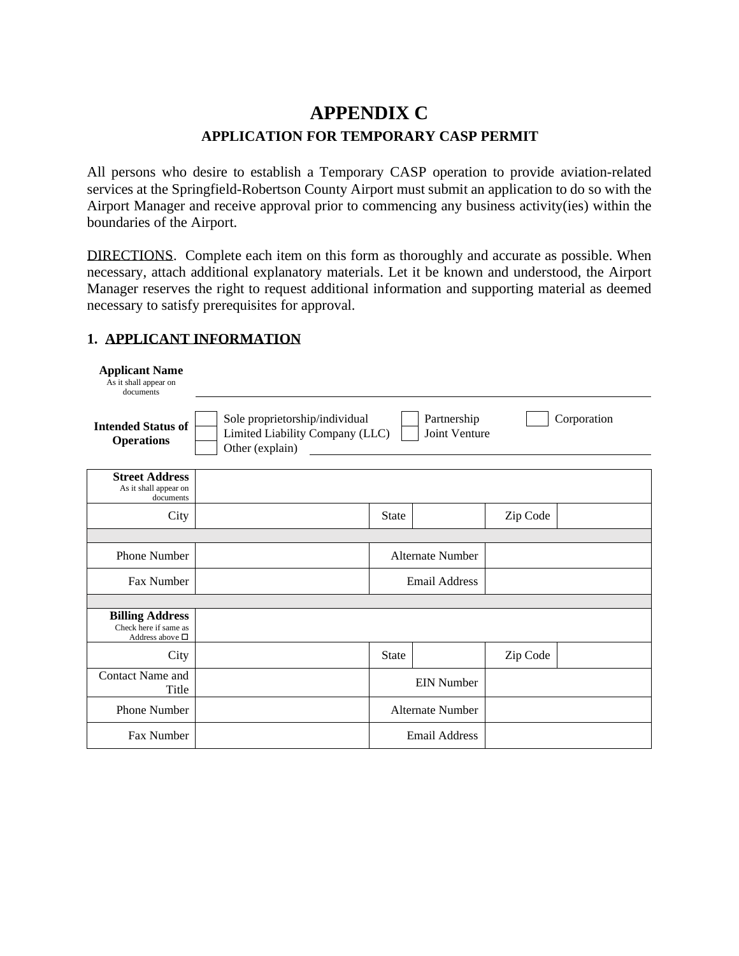# **APPENDIX C APPLICATION FOR TEMPORARY CASP PERMIT**

All persons who desire to establish a Temporary CASP operation to provide aviation-related services at the Springfield-Robertson County Airport must submit an application to do so with the Airport Manager and receive approval prior to commencing any business activity(ies) within the boundaries of the Airport.

DIRECTIONS. Complete each item on this form as thoroughly and accurate as possible. When necessary, attach additional explanatory materials. Let it be known and understood, the Airport Manager reserves the right to request additional information and supporting material as deemed necessary to satisfy prerequisites for approval.

## **1. APPLICANT INFORMATION**

| <b>Applicant Name</b><br>As it shall appear on<br>documents                |                                                                                                                                     |              |                      |          |  |
|----------------------------------------------------------------------------|-------------------------------------------------------------------------------------------------------------------------------------|--------------|----------------------|----------|--|
| <b>Intended Status of</b><br><b>Operations</b>                             | Partnership<br>Corporation<br>Sole proprietorship/individual<br>Joint Venture<br>Limited Liability Company (LLC)<br>Other (explain) |              |                      |          |  |
| <b>Street Address</b><br>As it shall appear on<br>documents                |                                                                                                                                     |              |                      |          |  |
| City                                                                       |                                                                                                                                     | <b>State</b> |                      | Zip Code |  |
|                                                                            |                                                                                                                                     |              |                      |          |  |
| <b>Phone Number</b>                                                        |                                                                                                                                     |              | Alternate Number     |          |  |
| Fax Number                                                                 |                                                                                                                                     |              | <b>Email Address</b> |          |  |
|                                                                            |                                                                                                                                     |              |                      |          |  |
| <b>Billing Address</b><br>Check here if same as<br>Address above $\square$ |                                                                                                                                     |              |                      |          |  |
| City                                                                       |                                                                                                                                     | <b>State</b> |                      | Zip Code |  |
| <b>Contact Name and</b><br>Title                                           |                                                                                                                                     |              | <b>EIN Number</b>    |          |  |
| <b>Phone Number</b>                                                        |                                                                                                                                     |              | Alternate Number     |          |  |
| Fax Number                                                                 |                                                                                                                                     |              | <b>Email Address</b> |          |  |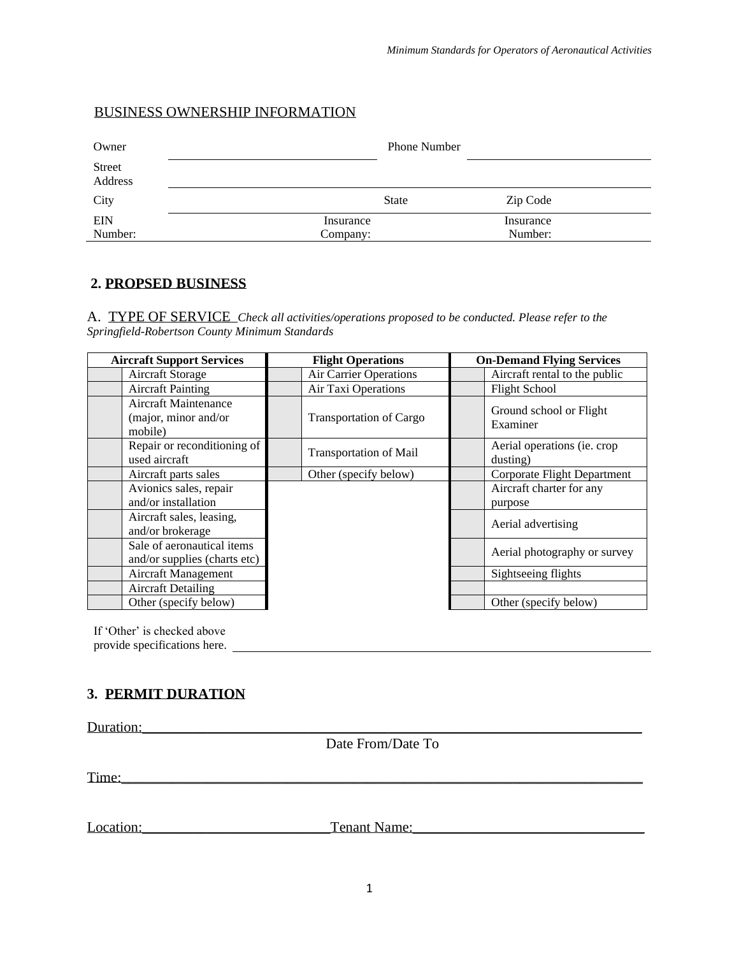#### BUSINESS OWNERSHIP INFORMATION

| Owner                 |                       | <b>Phone Number</b> |                      |  |
|-----------------------|-----------------------|---------------------|----------------------|--|
| Street<br>Address     |                       |                     |                      |  |
| City                  |                       | <b>State</b>        | Zip Code             |  |
| <b>EIN</b><br>Number: | Insurance<br>Company: |                     | Insurance<br>Number: |  |

#### **2. PROPSED BUSINESS**

A. TYPE OF SERVICE *Check all activities/operations proposed to be conducted. Please refer to the Springfield-Robertson County Minimum Standards*

| <b>Aircraft Support Services</b>                           | <b>Flight Operations</b>       | <b>On-Demand Flying Services</b>        |  |
|------------------------------------------------------------|--------------------------------|-----------------------------------------|--|
| Aircraft Storage                                           | <b>Air Carrier Operations</b>  | Aircraft rental to the public           |  |
| <b>Aircraft Painting</b>                                   | Air Taxi Operations            | <b>Flight School</b>                    |  |
| Aircraft Maintenance<br>(major, minor and/or<br>mobile)    | <b>Transportation of Cargo</b> | Ground school or Flight<br>Examiner     |  |
| Repair or reconditioning of<br>used aircraft               | <b>Transportation of Mail</b>  | Aerial operations (ie. crop<br>dusting) |  |
| Aircraft parts sales                                       | Other (specify below)          | Corporate Flight Department             |  |
| Avionics sales, repair<br>and/or installation              |                                | Aircraft charter for any<br>purpose     |  |
| Aircraft sales, leasing,<br>and/or brokerage               |                                | Aerial advertising                      |  |
| Sale of aeronautical items<br>and/or supplies (charts etc) |                                | Aerial photography or survey            |  |
| Aircraft Management                                        |                                | Sightseeing flights                     |  |
| <b>Aircraft Detailing</b>                                  |                                |                                         |  |
| Other (specify below)                                      |                                | Other (specify below)                   |  |

If 'Other' is checked above provide specifications here.

## **3. PERMIT DURATION**

Duration:\_\_\_\_\_\_\_\_\_\_\_\_\_\_\_\_\_\_\_\_\_\_\_\_\_\_\_\_\_\_\_\_\_\_\_\_\_\_\_\_\_\_\_\_\_\_\_\_\_\_\_\_\_\_\_\_\_\_\_\_\_\_\_\_\_\_\_\_\_

Date From/Date To

Time:\_\_\_\_\_\_\_\_\_\_\_\_\_\_\_\_\_\_\_\_\_\_\_\_\_\_\_\_\_\_\_\_\_\_\_\_\_\_\_\_\_\_\_\_\_\_\_\_\_\_\_\_\_\_\_\_\_\_\_\_\_\_\_\_\_\_\_\_\_\_\_\_

Location:\_\_\_\_\_\_\_\_\_\_\_\_\_\_\_\_\_\_\_\_\_\_\_\_\_\_Tenant Name:\_\_\_\_\_\_\_\_\_\_\_\_\_\_\_\_\_\_\_\_\_\_\_\_\_\_\_\_\_\_\_\_